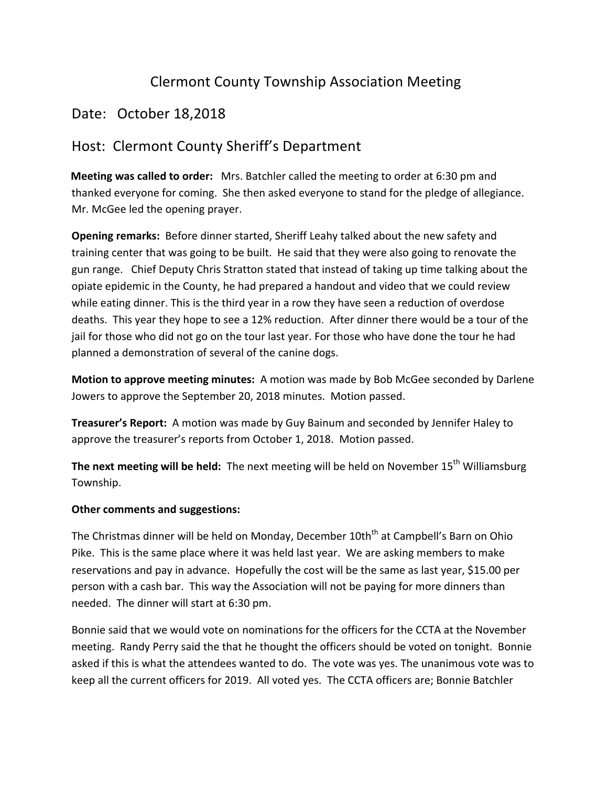## Clermont County Township Association Meeting

## Date: October 18,2018

## Host: Clermont County Sheriff's Department

**Meeting was called to order:** Mrs. Batchler called the meeting to order at 6:30 pm and thanked everyone for coming. She then asked everyone to stand for the pledge of allegiance. Mr. McGee led the opening prayer.

**Opening remarks:** Before dinner started, Sheriff Leahy talked about the new safety and training center that was going to be built. He said that they were also going to renovate the gun range. Chief Deputy Chris Stratton stated that instead of taking up time talking about the opiate epidemic in the County, he had prepared a handout and video that we could review while eating dinner. This is the third year in a row they have seen a reduction of overdose deaths. This year they hope to see a 12% reduction. After dinner there would be a tour of the jail for those who did not go on the tour last year. For those who have done the tour he had planned a demonstration of several of the canine dogs.

**Motion to approve meeting minutes:** A motion was made by Bob McGee seconded by Darlene Jowers to approve the September 20, 2018 minutes. Motion passed.

**Treasurer's Report:** A motion was made by Guy Bainum and seconded by Jennifer Haley to approve the treasurer's reports from October 1, 2018. Motion passed.

The next meeting will be held: The next meeting will be held on November 15<sup>th</sup> Williamsburg Township.

## **Other comments and suggestions:**

The Christmas dinner will be held on Monday, December 10th<sup>th</sup> at Campbell's Barn on Ohio Pike. This is the same place where it was held last year. We are asking members to make reservations and pay in advance. Hopefully the cost will be the same as last year, \$15.00 per person with a cash bar. This way the Association will not be paying for more dinners than needed. The dinner will start at 6:30 pm.

Bonnie said that we would vote on nominations for the officers for the CCTA at the November meeting. Randy Perry said the that he thought the officers should be voted on tonight. Bonnie asked if this is what the attendees wanted to do. The vote was yes. The unanimous vote was to keep all the current officers for 2019. All voted yes. The CCTA officers are; Bonnie Batchler